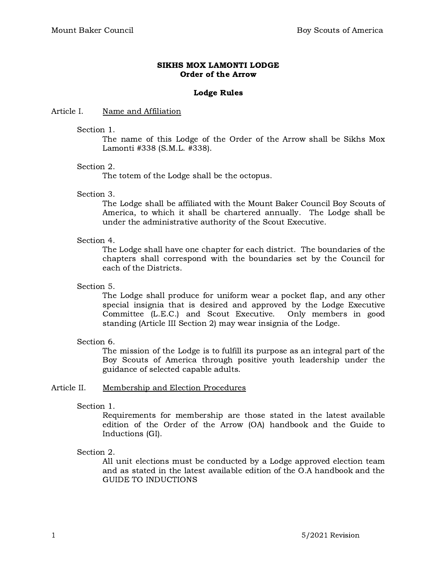### SIKHS MOX LAMONTI LODGE Order of the Arrow

### Lodge Rules

### Article I. Name and Affiliation

#### Section 1.

The name of this Lodge of the Order of the Arrow shall be Sikhs Mox Lamonti #338 (S.M.L. #338).

### Section 2.

The totem of the Lodge shall be the octopus.

### Section 3.

The Lodge shall be affiliated with the Mount Baker Council Boy Scouts of America, to which it shall be chartered annually. The Lodge shall be under the administrative authority of the Scout Executive.

### Section 4.

The Lodge shall have one chapter for each district. The boundaries of the chapters shall correspond with the boundaries set by the Council for each of the Districts.

### Section 5.

The Lodge shall produce for uniform wear a pocket flap, and any other special insignia that is desired and approved by the Lodge Executive Committee (L.E.C.) and Scout Executive. Only members in good standing (Article III Section 2) may wear insignia of the Lodge.

### Section 6.

The mission of the Lodge is to fulfill its purpose as an integral part of the Boy Scouts of America through positive youth leadership under the guidance of selected capable adults.

### Article II. Membership and Election Procedures

### Section 1.

Requirements for membership are those stated in the latest available edition of the Order of the Arrow (OA) handbook and the Guide to Inductions (GI).

### Section 2.

All unit elections must be conducted by a Lodge approved election team and as stated in the latest available edition of the O.A handbook and the GUIDE TO INDUCTIONS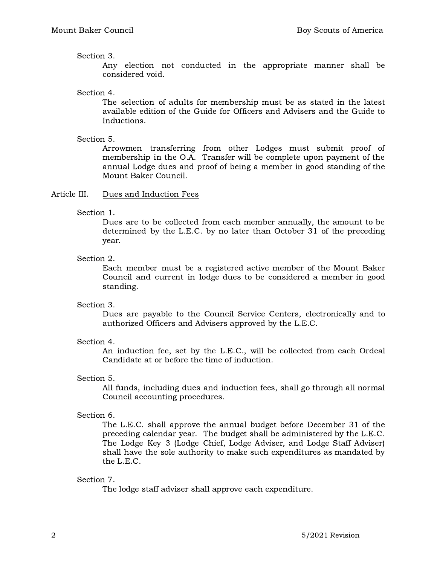Section 3.

Any election not conducted in the appropriate manner shall be considered void.

Section 4.

The selection of adults for membership must be as stated in the latest available edition of the Guide for Officers and Advisers and the Guide to Inductions.

Section 5.

Arrowmen transferring from other Lodges must submit proof of membership in the O.A. Transfer will be complete upon payment of the annual Lodge dues and proof of being a member in good standing of the Mount Baker Council.

### Article III. Dues and Induction Fees

Section 1.

Dues are to be collected from each member annually, the amount to be determined by the L.E.C. by no later than October 31 of the preceding year.

Section 2.

Each member must be a registered active member of the Mount Baker Council and current in lodge dues to be considered a member in good standing.

### Section 3.

Dues are payable to the Council Service Centers, electronically and to authorized Officers and Advisers approved by the L.E.C.

## Section 4.

An induction fee, set by the L.E.C., will be collected from each Ordeal Candidate at or before the time of induction.

## Section 5.

All funds, including dues and induction fees, shall go through all normal Council accounting procedures.

## Section 6.

The L.E.C. shall approve the annual budget before December 31 of the preceding calendar year. The budget shall be administered by the L.E.C. The Lodge Key 3 (Lodge Chief, Lodge Adviser, and Lodge Staff Adviser) shall have the sole authority to make such expenditures as mandated by the L.E.C.

## Section 7.

The lodge staff adviser shall approve each expenditure.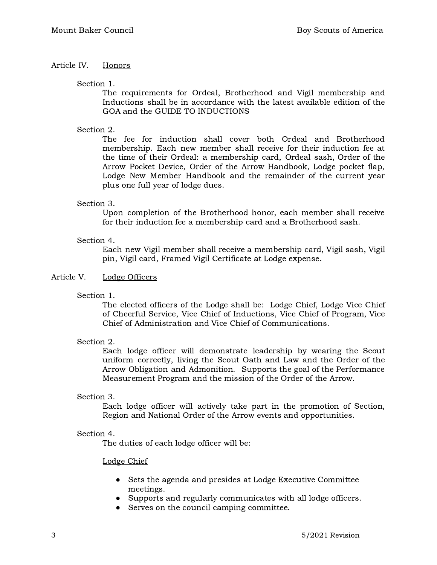# Article IV. Honors

### Section 1.

The requirements for Ordeal, Brotherhood and Vigil membership and Inductions shall be in accordance with the latest available edition of the GOA and the GUIDE TO INDUCTIONS

# Section 2.

The fee for induction shall cover both Ordeal and Brotherhood membership. Each new member shall receive for their induction fee at the time of their Ordeal: a membership card, Ordeal sash, Order of the Arrow Pocket Device, Order of the Arrow Handbook, Lodge pocket flap, Lodge New Member Handbook and the remainder of the current year plus one full year of lodge dues.

## Section 3.

Upon completion of the Brotherhood honor, each member shall receive for their induction fee a membership card and a Brotherhood sash.

### Section 4.

Each new Vigil member shall receive a membership card, Vigil sash, Vigil pin, Vigil card, Framed Vigil Certificate at Lodge expense.

## Article V. Lodge Officers

Section 1.

The elected officers of the Lodge shall be: Lodge Chief, Lodge Vice Chief of Cheerful Service, Vice Chief of Inductions, Vice Chief of Program, Vice Chief of Administration and Vice Chief of Communications.

## Section 2.

Each lodge officer will demonstrate leadership by wearing the Scout uniform correctly, living the Scout Oath and Law and the Order of the Arrow Obligation and Admonition. Supports the goal of the Performance Measurement Program and the mission of the Order of the Arrow.

### Section 3.

Each lodge officer will actively take part in the promotion of Section, Region and National Order of the Arrow events and opportunities.

### Section 4.

The duties of each lodge officer will be:

### Lodge Chief

- Sets the agenda and presides at Lodge Executive Committee meetings.
- Supports and regularly communicates with all lodge officers.
- Serves on the council camping committee.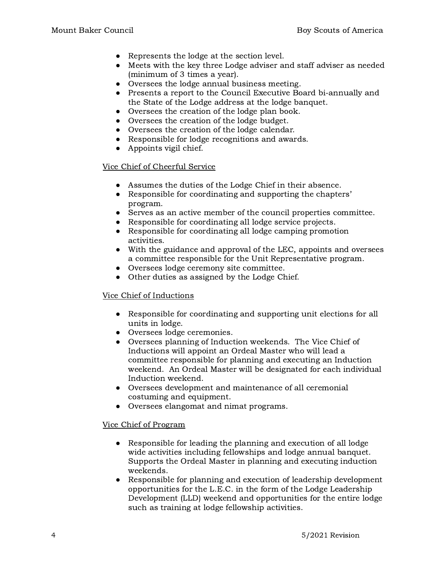- Represents the lodge at the section level.
- Meets with the key three Lodge adviser and staff adviser as needed (minimum of 3 times a year).
- Oversees the lodge annual business meeting.
- Presents a report to the Council Executive Board bi-annually and the State of the Lodge address at the lodge banquet.
- Oversees the creation of the lodge plan book.
- Oversees the creation of the lodge budget.
- Oversees the creation of the lodge calendar.
- Responsible for lodge recognitions and awards.
- Appoints vigil chief.

## Vice Chief of Cheerful Service

- Assumes the duties of the Lodge Chief in their absence.
- Responsible for coordinating and supporting the chapters' program.
- Serves as an active member of the council properties committee.
- Responsible for coordinating all lodge service projects.
- Responsible for coordinating all lodge camping promotion activities.
- With the guidance and approval of the LEC, appoints and oversees a committee responsible for the Unit Representative program.
- Oversees lodge ceremony site committee.
- Other duties as assigned by the Lodge Chief.

## Vice Chief of Inductions

- Responsible for coordinating and supporting unit elections for all units in lodge.
- Oversees lodge ceremonies.
- Oversees planning of Induction weekends. The Vice Chief of Inductions will appoint an Ordeal Master who will lead a committee responsible for planning and executing an Induction weekend. An Ordeal Master will be designated for each individual Induction weekend.
- Oversees development and maintenance of all ceremonial costuming and equipment.
- Oversees elangomat and nimat programs.

## Vice Chief of Program

- Responsible for leading the planning and execution of all lodge wide activities including fellowships and lodge annual banquet. Supports the Ordeal Master in planning and executing induction weekends.
- Responsible for planning and execution of leadership development opportunities for the L.E.C. in the form of the Lodge Leadership Development (LLD) weekend and opportunities for the entire lodge such as training at lodge fellowship activities.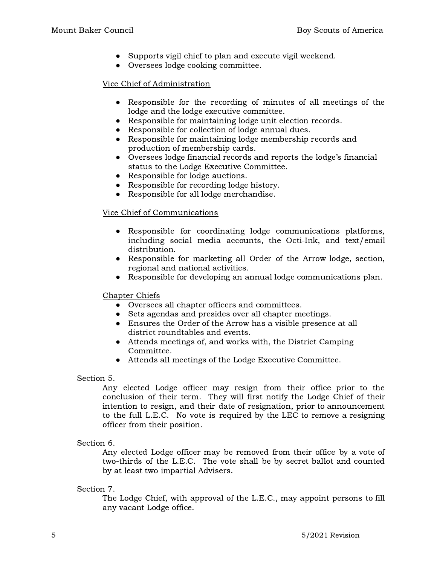- Supports vigil chief to plan and execute vigil weekend.
- Oversees lodge cooking committee.

## Vice Chief of Administration

- Responsible for the recording of minutes of all meetings of the lodge and the lodge executive committee.
- Responsible for maintaining lodge unit election records.
- Responsible for collection of lodge annual dues.
- Responsible for maintaining lodge membership records and production of membership cards.
- Oversees lodge financial records and reports the lodge's financial status to the Lodge Executive Committee.
- Responsible for lodge auctions.
- Responsible for recording lodge history.
- Responsible for all lodge merchandise.

## Vice Chief of Communications

- Responsible for coordinating lodge communications platforms, including social media accounts, the Octi-Ink, and text/email distribution.
- Responsible for marketing all Order of the Arrow lodge, section, regional and national activities.
- Responsible for developing an annual lodge communications plan.

### Chapter Chiefs

- Oversees all chapter officers and committees.
- Sets agendas and presides over all chapter meetings.
- Ensures the Order of the Arrow has a visible presence at all district roundtables and events.
- Attends meetings of, and works with, the District Camping Committee.
- Attends all meetings of the Lodge Executive Committee.

### Section 5.

Any elected Lodge officer may resign from their office prior to the conclusion of their term. They will first notify the Lodge Chief of their intention to resign, and their date of resignation, prior to announcement to the full L.E.C. No vote is required by the LEC to remove a resigning officer from their position.

## Section 6.

Any elected Lodge officer may be removed from their office by a vote of two-thirds of the L.E.C. The vote shall be by secret ballot and counted by at least two impartial Advisers.

## Section 7.

The Lodge Chief, with approval of the L.E.C., may appoint persons to fill any vacant Lodge office.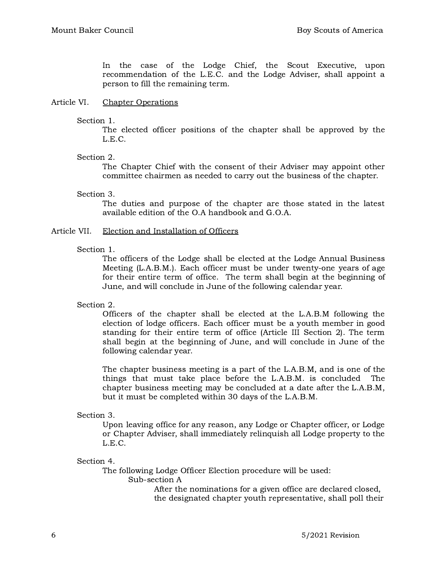In the case of the Lodge Chief, the Scout Executive, upon recommendation of the L.E.C. and the Lodge Adviser, shall appoint a person to fill the remaining term.

### Article VI. Chapter Operations

### Section 1.

The elected officer positions of the chapter shall be approved by the L.E.C.

### Section 2.

The Chapter Chief with the consent of their Adviser may appoint other committee chairmen as needed to carry out the business of the chapter.

### Section 3.

The duties and purpose of the chapter are those stated in the latest available edition of the O.A handbook and G.O.A.

### Article VII. Election and Installation of Officers

### Section 1.

The officers of the Lodge shall be elected at the Lodge Annual Business Meeting (L.A.B.M.). Each officer must be under twenty-one years of age for their entire term of office. The term shall begin at the beginning of June, and will conclude in June of the following calendar year.

## Section 2.

Officers of the chapter shall be elected at the L.A.B.M following the election of lodge officers. Each officer must be a youth member in good standing for their entire term of office (Article III Section 2). The term shall begin at the beginning of June, and will conclude in June of the following calendar year.

The chapter business meeting is a part of the L.A.B.M, and is one of the things that must take place before the L.A.B.M. is concluded The chapter business meeting may be concluded at a date after the L.A.B.M, but it must be completed within 30 days of the L.A.B.M.

## Section 3.

Upon leaving office for any reason, any Lodge or Chapter officer, or Lodge or Chapter Adviser, shall immediately relinquish all Lodge property to the L.E.C.

### Section 4.

The following Lodge Officer Election procedure will be used:

Sub-section A

After the nominations for a given office are declared closed, the designated chapter youth representative, shall poll their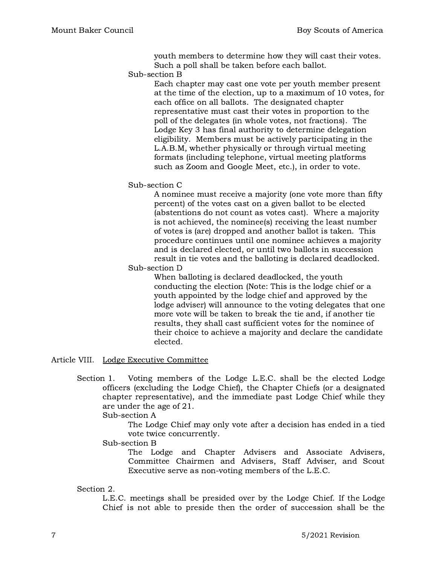youth members to determine how they will cast their votes. Such a poll shall be taken before each ballot.

Sub-section B

Each chapter may cast one vote per youth member present at the time of the election, up to a maximum of 10 votes, for each office on all ballots. The designated chapter representative must cast their votes in proportion to the poll of the delegates (in whole votes, not fractions). The Lodge Key 3 has final authority to determine delegation eligibility. Members must be actively participating in the L.A.B.M, whether physically or through virtual meeting formats (including telephone, virtual meeting platforms such as Zoom and Google Meet, etc.), in order to vote.

Sub-section C

A nominee must receive a majority (one vote more than fifty percent) of the votes cast on a given ballot to be elected (abstentions do not count as votes cast). Where a majority is not achieved, the nominee(s) receiving the least number of votes is (are) dropped and another ballot is taken. This procedure continues until one nominee achieves a majority and is declared elected, or until two ballots in succession result in tie votes and the balloting is declared deadlocked.

Sub-section D

When balloting is declared deadlocked, the youth conducting the election (Note: This is the lodge chief or a youth appointed by the lodge chief and approved by the lodge adviser) will announce to the voting delegates that one more vote will be taken to break the tie and, if another tie results, they shall cast sufficient votes for the nominee of their choice to achieve a majority and declare the candidate elected.

Article VIII. Lodge Executive Committee

Section 1. Voting members of the Lodge L.E.C. shall be the elected Lodge officers (excluding the Lodge Chief), the Chapter Chiefs (or a designated chapter representative), and the immediate past Lodge Chief while they are under the age of 21.

Sub-section A

The Lodge Chief may only vote after a decision has ended in a tied vote twice concurrently.

Sub-section B

The Lodge and Chapter Advisers and Associate Advisers, Committee Chairmen and Advisers, Staff Adviser, and Scout Executive serve as non-voting members of the L.E.C.

Section 2.

L.E.C. meetings shall be presided over by the Lodge Chief. If the Lodge Chief is not able to preside then the order of succession shall be the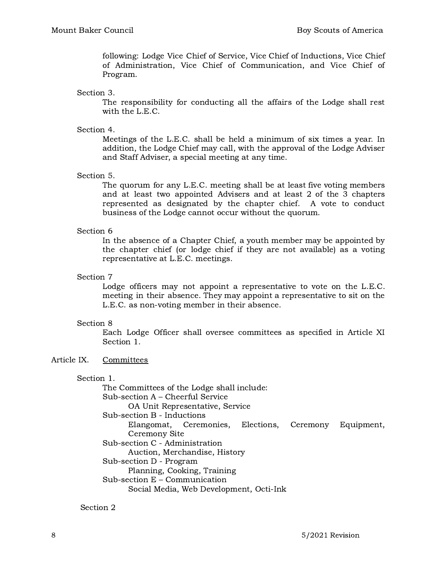following: Lodge Vice Chief of Service, Vice Chief of Inductions, Vice Chief of Administration, Vice Chief of Communication, and Vice Chief of Program.

#### Section 3.

The responsibility for conducting all the affairs of the Lodge shall rest with the L.E.C.

### Section 4.

Meetings of the L.E.C. shall be held a minimum of six times a year. In addition, the Lodge Chief may call, with the approval of the Lodge Adviser and Staff Adviser, a special meeting at any time.

### Section 5.

The quorum for any L.E.C. meeting shall be at least five voting members and at least two appointed Advisers and at least 2 of the 3 chapters represented as designated by the chapter chief. A vote to conduct business of the Lodge cannot occur without the quorum.

### Section 6

In the absence of a Chapter Chief, a youth member may be appointed by the chapter chief (or lodge chief if they are not available) as a voting representative at L.E.C. meetings.

### Section 7

Lodge officers may not appoint a representative to vote on the L.E.C. meeting in their absence. They may appoint a representative to sit on the L.E.C. as non-voting member in their absence.

### Section 8

Each Lodge Officer shall oversee committees as specified in Article XI Section 1.

### Article IX. Committees

### Section 1.

The Committees of the Lodge shall include: Sub-section A – Cheerful Service OA Unit Representative, Service Sub-section B - Inductions Elangomat, Ceremonies, Elections, Ceremony Equipment, Ceremony Site Sub-section C - Administration Auction, Merchandise, History Sub-section D - Program Planning, Cooking, Training Sub-section E – Communication Social Media, Web Development, Octi-Ink

## Section 2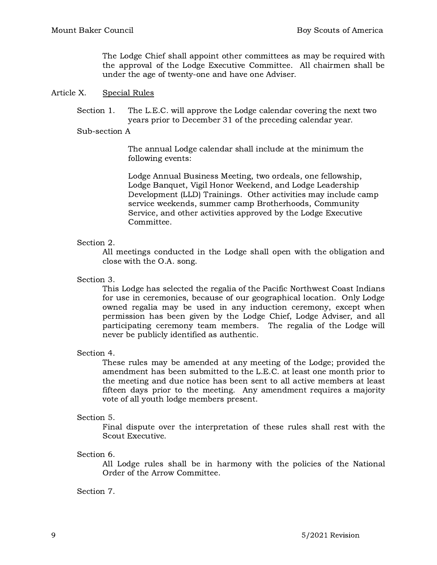The Lodge Chief shall appoint other committees as may be required with the approval of the Lodge Executive Committee. All chairmen shall be under the age of twenty-one and have one Adviser.

### Article X. Special Rules

Section 1. The L.E.C. will approve the Lodge calendar covering the next two years prior to December 31 of the preceding calendar year.

#### Sub-section A

The annual Lodge calendar shall include at the minimum the following events:

Lodge Annual Business Meeting, two ordeals, one fellowship, Lodge Banquet, Vigil Honor Weekend, and Lodge Leadership Development (LLD) Trainings. Other activities may include camp service weekends, summer camp Brotherhoods, Community Service, and other activities approved by the Lodge Executive Committee.

### Section 2.

All meetings conducted in the Lodge shall open with the obligation and close with the O.A. song.

Section 3.

This Lodge has selected the regalia of the Pacific Northwest Coast Indians for use in ceremonies, because of our geographical location. Only Lodge owned regalia may be used in any induction ceremony, except when permission has been given by the Lodge Chief, Lodge Adviser, and all participating ceremony team members. The regalia of the Lodge will never be publicly identified as authentic.

Section 4.

These rules may be amended at any meeting of the Lodge; provided the amendment has been submitted to the L.E.C. at least one month prior to the meeting and due notice has been sent to all active members at least fifteen days prior to the meeting. Any amendment requires a majority vote of all youth lodge members present.

### Section 5.

Final dispute over the interpretation of these rules shall rest with the Scout Executive.

### Section 6.

All Lodge rules shall be in harmony with the policies of the National Order of the Arrow Committee.

### Section 7.